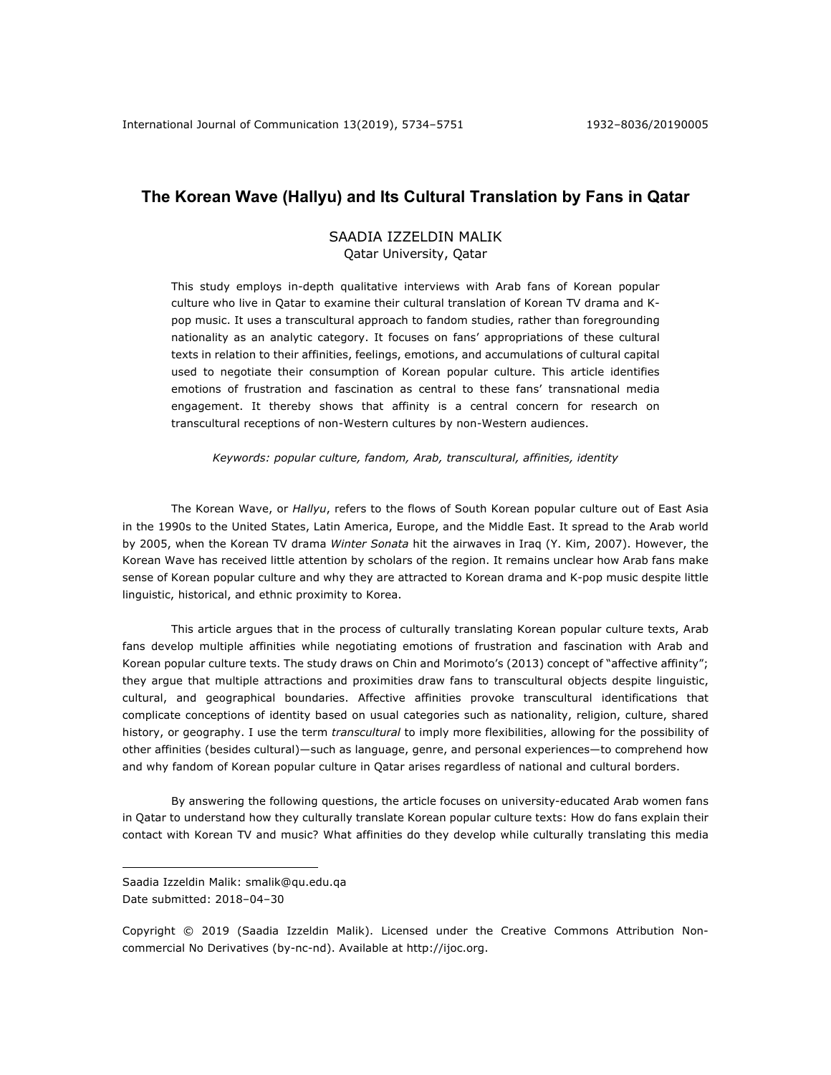# **The Korean Wave (Hallyu) and Its Cultural Translation by Fans in Qatar**

## SAADIA IZZELDIN MALIK Qatar University, Qatar

This study employs in-depth qualitative interviews with Arab fans of Korean popular culture who live in Qatar to examine their cultural translation of Korean TV drama and Kpop music. It uses a transcultural approach to fandom studies, rather than foregrounding nationality as an analytic category. It focuses on fans' appropriations of these cultural texts in relation to their affinities, feelings, emotions, and accumulations of cultural capital used to negotiate their consumption of Korean popular culture. This article identifies emotions of frustration and fascination as central to these fans' transnational media engagement. It thereby shows that affinity is a central concern for research on transcultural receptions of non-Western cultures by non-Western audiences.

*Keywords: popular culture, fandom, Arab, transcultural, affinities, identity*

The Korean Wave, or *Hallyu*, refers to the flows of South Korean popular culture out of East Asia in the 1990s to the United States, Latin America, Europe, and the Middle East. It spread to the Arab world by 2005, when the Korean TV drama *Winter Sonata* hit the airwaves in Iraq (Y. Kim, 2007). However, the Korean Wave has received little attention by scholars of the region. It remains unclear how Arab fans make sense of Korean popular culture and why they are attracted to Korean drama and K-pop music despite little linguistic, historical, and ethnic proximity to Korea.

This article argues that in the process of culturally translating Korean popular culture texts, Arab fans develop multiple affinities while negotiating emotions of frustration and fascination with Arab and Korean popular culture texts. The study draws on Chin and Morimoto's (2013) concept of "affective affinity"; they argue that multiple attractions and proximities draw fans to transcultural objects despite linguistic, cultural, and geographical boundaries. Affective affinities provoke transcultural identifications that complicate conceptions of identity based on usual categories such as nationality, religion, culture, shared history, or geography. I use the term *transcultural* to imply more flexibilities, allowing for the possibility of other affinities (besides cultural)—such as language, genre, and personal experiences—to comprehend how and why fandom of Korean popular culture in Qatar arises regardless of national and cultural borders.

By answering the following questions, the article focuses on university-educated Arab women fans in Qatar to understand how they culturally translate Korean popular culture texts: How do fans explain their contact with Korean TV and music? What affinities do they develop while culturally translating this media

Saadia Izzeldin Malik: smalik@qu.edu.qa Date submitted: 2018-04-30

Copyright © 2019 (Saadia Izzeldin Malik). Licensed under the Creative Commons Attribution Noncommercial No Derivatives (by-nc-nd). Available at http://ijoc.org.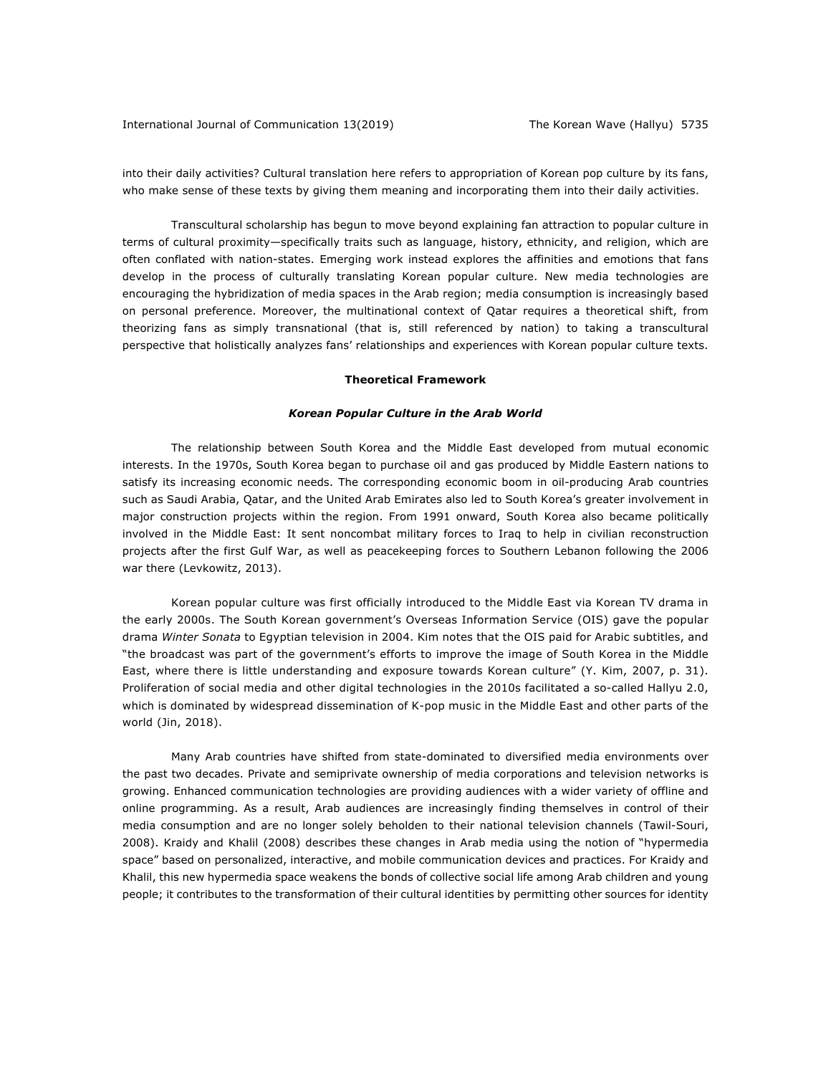into their daily activities? Cultural translation here refers to appropriation of Korean pop culture by its fans, who make sense of these texts by giving them meaning and incorporating them into their daily activities.

Transcultural scholarship has begun to move beyond explaining fan attraction to popular culture in terms of cultural proximity—specifically traits such as language, history, ethnicity, and religion, which are often conflated with nation-states. Emerging work instead explores the affinities and emotions that fans develop in the process of culturally translating Korean popular culture. New media technologies are encouraging the hybridization of media spaces in the Arab region; media consumption is increasingly based on personal preference. Moreover, the multinational context of Qatar requires a theoretical shift, from theorizing fans as simply transnational (that is, still referenced by nation) to taking a transcultural perspective that holistically analyzes fans' relationships and experiences with Korean popular culture texts.

## **Theoretical Framework**

#### *Korean Popular Culture in the Arab World*

The relationship between South Korea and the Middle East developed from mutual economic interests. In the 1970s, South Korea began to purchase oil and gas produced by Middle Eastern nations to satisfy its increasing economic needs. The corresponding economic boom in oil-producing Arab countries such as Saudi Arabia, Qatar, and the United Arab Emirates also led to South Korea's greater involvement in major construction projects within the region. From 1991 onward, South Korea also became politically involved in the Middle East: It sent noncombat military forces to Iraq to help in civilian reconstruction projects after the first Gulf War, as well as peacekeeping forces to Southern Lebanon following the 2006 war there (Levkowitz, 2013).

Korean popular culture was first officially introduced to the Middle East via Korean TV drama in the early 2000s. The South Korean government's Overseas Information Service (OIS) gave the popular drama *Winter Sonata* to Egyptian television in 2004. Kim notes that the OIS paid for Arabic subtitles, and "the broadcast was part of the government's efforts to improve the image of South Korea in the Middle East, where there is little understanding and exposure towards Korean culture" (Y. Kim, 2007, p. 31). Proliferation of social media and other digital technologies in the 2010s facilitated a so-called Hallyu 2.0, which is dominated by widespread dissemination of K-pop music in the Middle East and other parts of the world (Jin, 2018).

Many Arab countries have shifted from state-dominated to diversified media environments over the past two decades. Private and semiprivate ownership of media corporations and television networks is growing. Enhanced communication technologies are providing audiences with a wider variety of offline and online programming. As a result, Arab audiences are increasingly finding themselves in control of their media consumption and are no longer solely beholden to their national television channels (Tawil-Souri, 2008). Kraidy and Khalil (2008) describes these changes in Arab media using the notion of "hypermedia space" based on personalized, interactive, and mobile communication devices and practices. For Kraidy and Khalil, this new hypermedia space weakens the bonds of collective social life among Arab children and young people; it contributes to the transformation of their cultural identities by permitting other sources for identity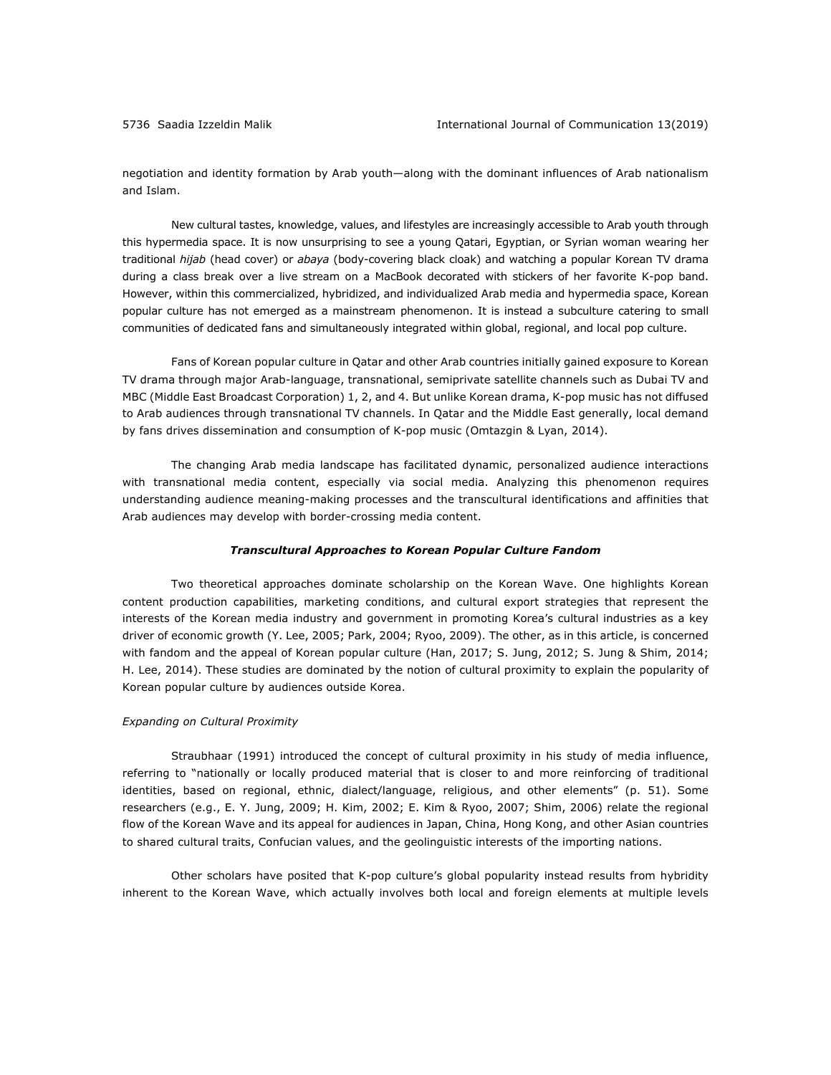negotiation and identity formation by Arab youth—along with the dominant influences of Arab nationalism and Islam.

New cultural tastes, knowledge, values, and lifestyles are increasingly accessible to Arab youth through this hypermedia space. It is now unsurprising to see a young Qatari, Egyptian, or Syrian woman wearing her traditional *hijab* (head cover) or *abaya* (body-covering black cloak) and watching a popular Korean TV drama during a class break over a live stream on a MacBook decorated with stickers of her favorite K-pop band. However, within this commercialized, hybridized, and individualized Arab media and hypermedia space, Korean popular culture has not emerged as a mainstream phenomenon. It is instead a subculture catering to small communities of dedicated fans and simultaneously integrated within global, regional, and local pop culture.

Fans of Korean popular culture in Qatar and other Arab countries initially gained exposure to Korean TV drama through major Arab-language, transnational, semiprivate satellite channels such as Dubai TV and MBC (Middle East Broadcast Corporation) 1, 2, and 4. But unlike Korean drama, K-pop music has not diffused to Arab audiences through transnational TV channels. In Qatar and the Middle East generally, local demand by fans drives dissemination and consumption of K-pop music (Omtazgin & Lyan, 2014).

The changing Arab media landscape has facilitated dynamic, personalized audience interactions with transnational media content, especially via social media. Analyzing this phenomenon requires understanding audience meaning-making processes and the transcultural identifications and affinities that Arab audiences may develop with border-crossing media content.

#### *Transcultural Approaches to Korean Popular Culture Fandom*

Two theoretical approaches dominate scholarship on the Korean Wave. One highlights Korean content production capabilities, marketing conditions, and cultural export strategies that represent the interests of the Korean media industry and government in promoting Korea's cultural industries as a key driver of economic growth (Y. Lee, 2005; Park, 2004; Ryoo, 2009). The other, as in this article, is concerned with fandom and the appeal of Korean popular culture (Han, 2017; S. Jung, 2012; S. Jung & Shim, 2014; H. Lee, 2014). These studies are dominated by the notion of cultural proximity to explain the popularity of Korean popular culture by audiences outside Korea.

## *Expanding on Cultural Proximity*

Straubhaar (1991) introduced the concept of cultural proximity in his study of media influence, referring to "nationally or locally produced material that is closer to and more reinforcing of traditional identities, based on regional, ethnic, dialect/language, religious, and other elements" (p. 51). Some researchers (e.g., E. Y. Jung, 2009; H. Kim, 2002; E. Kim & Ryoo, 2007; Shim, 2006) relate the regional flow of the Korean Wave and its appeal for audiences in Japan, China, Hong Kong, and other Asian countries to shared cultural traits, Confucian values, and the geolinguistic interests of the importing nations.

Other scholars have posited that K-pop culture's global popularity instead results from hybridity inherent to the Korean Wave, which actually involves both local and foreign elements at multiple levels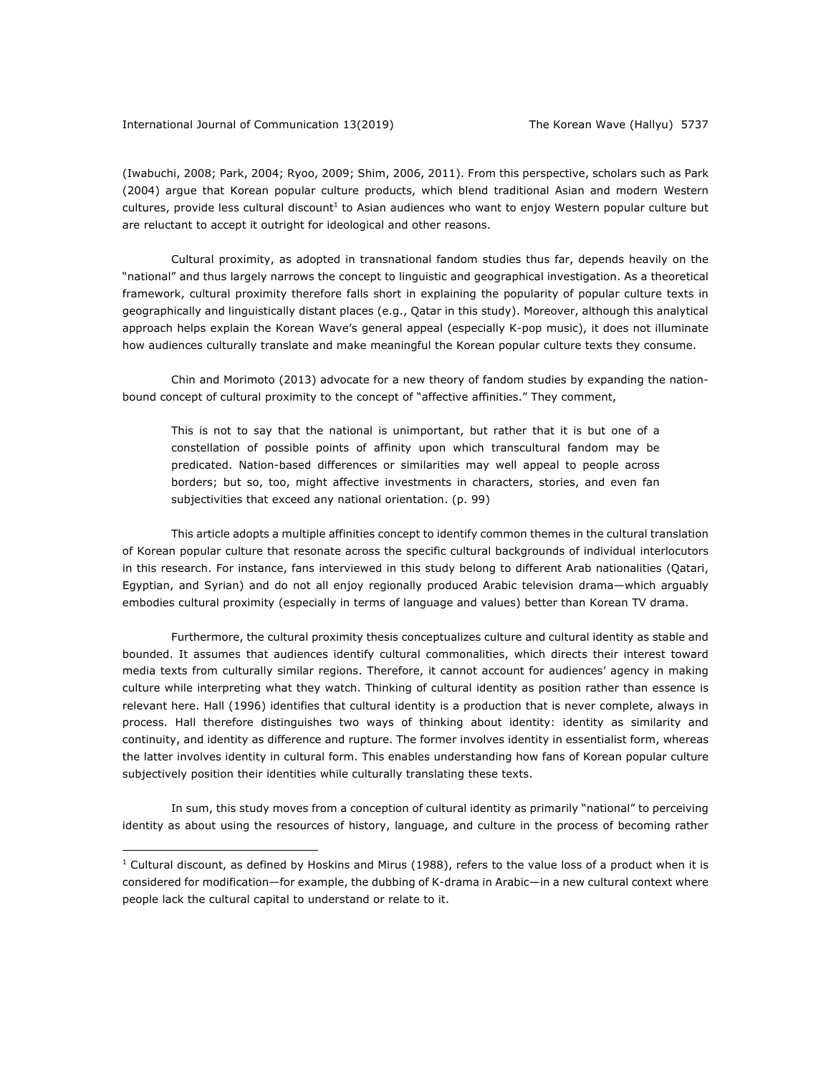(Iwabuchi, 2008; Park, 2004; Ryoo, 2009; Shim, 2006, 2011). From this perspective, scholars such as Park (2004) argue that Korean popular culture products, which blend traditional Asian and modern Western cultures, provide less cultural discount<sup>1</sup> to Asian audiences who want to enjoy Western popular culture but are reluctant to accept it outright for ideological and other reasons.

Cultural proximity, as adopted in transnational fandom studies thus far, depends heavily on the "national" and thus largely narrows the concept to linguistic and geographical investigation. As a theoretical framework, cultural proximity therefore falls short in explaining the popularity of popular culture texts in geographically and linguistically distant places (e.g., Qatar in this study). Moreover, although this analytical approach helps explain the Korean Wave's general appeal (especially K-pop music), it does not illuminate how audiences culturally translate and make meaningful the Korean popular culture texts they consume.

Chin and Morimoto (2013) advocate for a new theory of fandom studies by expanding the nationbound concept of cultural proximity to the concept of "affective affinities." They comment,

This is not to say that the national is unimportant, but rather that it is but one of a constellation of possible points of affinity upon which transcultural fandom may be predicated. Nation-based differences or similarities may well appeal to people across borders; but so, too, might affective investments in characters, stories, and even fan subjectivities that exceed any national orientation. (p. 99)

This article adopts a multiple affinities concept to identify common themes in the cultural translation of Korean popular culture that resonate across the specific cultural backgrounds of individual interlocutors in this research. For instance, fans interviewed in this study belong to different Arab nationalities (Qatari, Egyptian, and Syrian) and do not all enjoy regionally produced Arabic television drama—which arguably embodies cultural proximity (especially in terms of language and values) better than Korean TV drama.

Furthermore, the cultural proximity thesis conceptualizes culture and cultural identity as stable and bounded. It assumes that audiences identify cultural commonalities, which directs their interest toward media texts from culturally similar regions. Therefore, it cannot account for audiences' agency in making culture while interpreting what they watch. Thinking of cultural identity as position rather than essence is relevant here. Hall (1996) identifies that cultural identity is a production that is never complete, always in process. Hall therefore distinguishes two ways of thinking about identity: identity as similarity and continuity, and identity as difference and rupture. The former involves identity in essentialist form, whereas the latter involves identity in cultural form. This enables understanding how fans of Korean popular culture subjectively position their identities while culturally translating these texts.

In sum, this study moves from a conception of cultural identity as primarily "national" to perceiving identity as about using the resources of history, language, and culture in the process of becoming rather

 $1$  Cultural discount, as defined by Hoskins and Mirus (1988), refers to the value loss of a product when it is considered for modification—for example, the dubbing of K-drama in Arabic—in a new cultural context where people lack the cultural capital to understand or relate to it.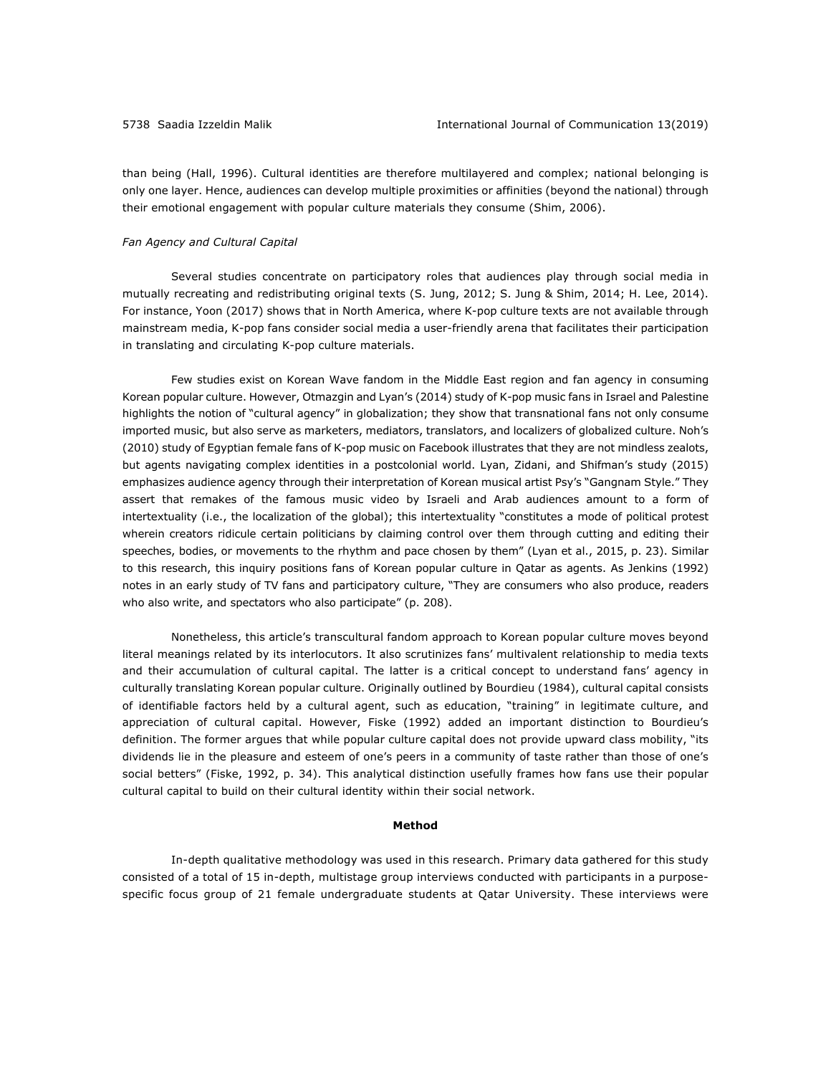than being (Hall, 1996). Cultural identities are therefore multilayered and complex; national belonging is only one layer. Hence, audiences can develop multiple proximities or affinities (beyond the national) through their emotional engagement with popular culture materials they consume (Shim, 2006).

#### *Fan Agency and Cultural Capital*

Several studies concentrate on participatory roles that audiences play through social media in mutually recreating and redistributing original texts (S. Jung, 2012; S. Jung & Shim, 2014; H. Lee, 2014). For instance, Yoon (2017) shows that in North America, where K-pop culture texts are not available through mainstream media, K-pop fans consider social media a user-friendly arena that facilitates their participation in translating and circulating K-pop culture materials.

Few studies exist on Korean Wave fandom in the Middle East region and fan agency in consuming Korean popular culture. However, Otmazgin and Lyan's (2014) study of K-pop music fans in Israel and Palestine highlights the notion of "cultural agency" in globalization; they show that transnational fans not only consume imported music, but also serve as marketers, mediators, translators, and localizers of globalized culture. Noh's (2010) study of Egyptian female fans of K-pop music on Facebook illustrates that they are not mindless zealots, but agents navigating complex identities in a postcolonial world. Lyan, Zidani, and Shifman's study (2015) emphasizes audience agency through their interpretation of Korean musical artist Psy's "Gangnam Style." They assert that remakes of the famous music video by Israeli and Arab audiences amount to a form of intertextuality (i.e., the localization of the global); this intertextuality "constitutes a mode of political protest wherein creators ridicule certain politicians by claiming control over them through cutting and editing their speeches, bodies, or movements to the rhythm and pace chosen by them" (Lyan et al., 2015, p. 23). Similar to this research, this inquiry positions fans of Korean popular culture in Qatar as agents. As Jenkins (1992) notes in an early study of TV fans and participatory culture, "They are consumers who also produce, readers who also write, and spectators who also participate" (p. 208).

Nonetheless, this article's transcultural fandom approach to Korean popular culture moves beyond literal meanings related by its interlocutors. It also scrutinizes fans' multivalent relationship to media texts and their accumulation of cultural capital. The latter is a critical concept to understand fans' agency in culturally translating Korean popular culture. Originally outlined by Bourdieu (1984), cultural capital consists of identifiable factors held by a cultural agent, such as education, "training" in legitimate culture, and appreciation of cultural capital. However, Fiske (1992) added an important distinction to Bourdieu's definition. The former argues that while popular culture capital does not provide upward class mobility, "its dividends lie in the pleasure and esteem of one's peers in a community of taste rather than those of one's social betters" (Fiske, 1992, p. 34). This analytical distinction usefully frames how fans use their popular cultural capital to build on their cultural identity within their social network.

#### **Method**

In-depth qualitative methodology was used in this research. Primary data gathered for this study consisted of a total of 15 in-depth, multistage group interviews conducted with participants in a purposespecific focus group of 21 female undergraduate students at Qatar University. These interviews were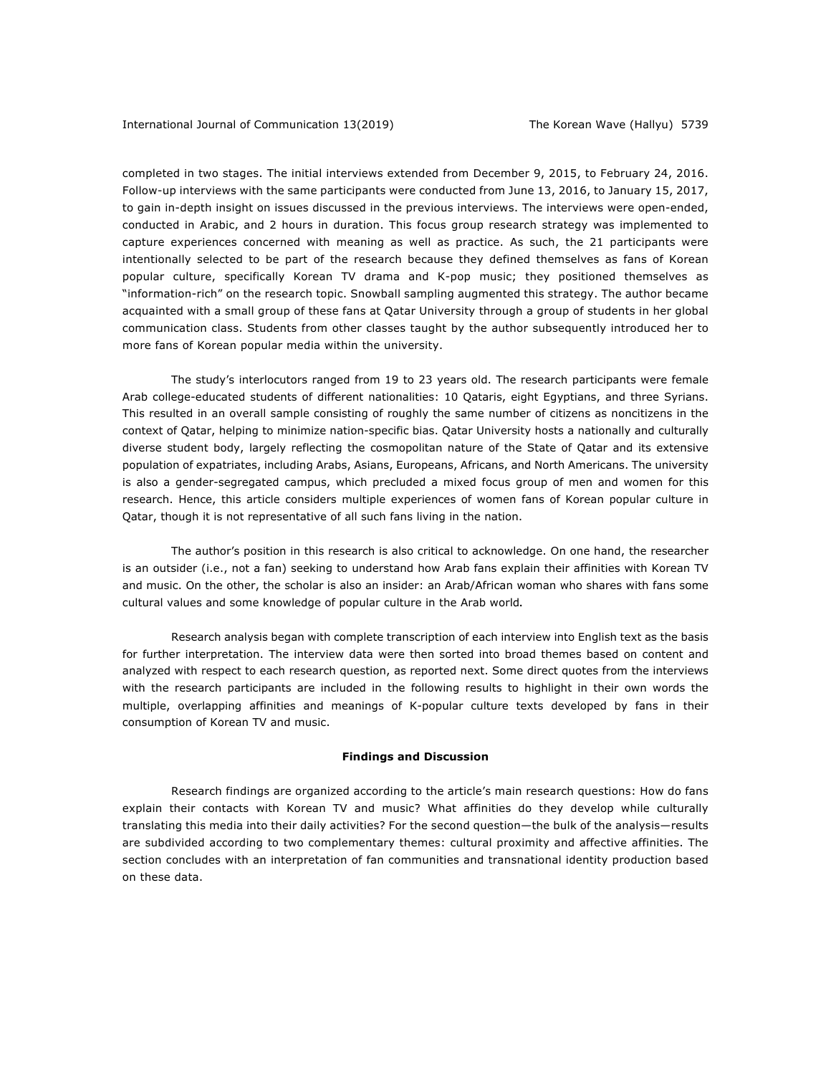completed in two stages. The initial interviews extended from December 9, 2015, to February 24, 2016. Follow-up interviews with the same participants were conducted from June 13, 2016, to January 15, 2017, to gain in-depth insight on issues discussed in the previous interviews. The interviews were open-ended, conducted in Arabic, and 2 hours in duration. This focus group research strategy was implemented to capture experiences concerned with meaning as well as practice. As such, the 21 participants were intentionally selected to be part of the research because they defined themselves as fans of Korean popular culture, specifically Korean TV drama and K-pop music; they positioned themselves as "information-rich" on the research topic. Snowball sampling augmented this strategy. The author became acquainted with a small group of these fans at Qatar University through a group of students in her global communication class. Students from other classes taught by the author subsequently introduced her to more fans of Korean popular media within the university.

The study's interlocutors ranged from 19 to 23 years old. The research participants were female Arab college-educated students of different nationalities: 10 Qataris, eight Egyptians, and three Syrians. This resulted in an overall sample consisting of roughly the same number of citizens as noncitizens in the context of Qatar, helping to minimize nation-specific bias. Qatar University hosts a nationally and culturally diverse student body, largely reflecting the cosmopolitan nature of the State of Qatar and its extensive population of expatriates, including Arabs, Asians, Europeans, Africans, and North Americans. The university is also a gender-segregated campus, which precluded a mixed focus group of men and women for this research. Hence, this article considers multiple experiences of women fans of Korean popular culture in Qatar, though it is not representative of all such fans living in the nation.

The author's position in this research is also critical to acknowledge. On one hand, the researcher is an outsider (i.e., not a fan) seeking to understand how Arab fans explain their affinities with Korean TV and music. On the other, the scholar is also an insider: an Arab/African woman who shares with fans some cultural values and some knowledge of popular culture in the Arab world**.**

Research analysis began with complete transcription of each interview into English text as the basis for further interpretation. The interview data were then sorted into broad themes based on content and analyzed with respect to each research question, as reported next. Some direct quotes from the interviews with the research participants are included in the following results to highlight in their own words the multiple, overlapping affinities and meanings of K-popular culture texts developed by fans in their consumption of Korean TV and music.

#### **Findings and Discussion**

Research findings are organized according to the article's main research questions: How do fans explain their contacts with Korean TV and music? What affinities do they develop while culturally translating this media into their daily activities? For the second question—the bulk of the analysis—results are subdivided according to two complementary themes: cultural proximity and affective affinities. The section concludes with an interpretation of fan communities and transnational identity production based on these data.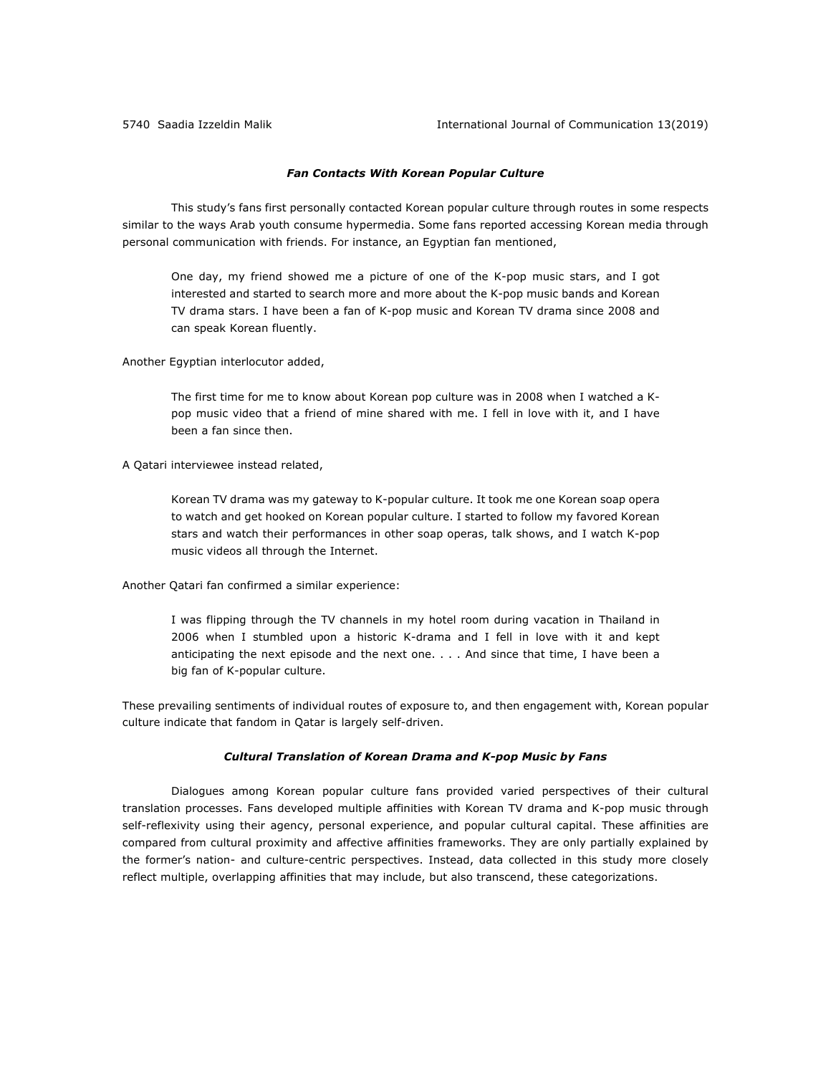## *Fan Contacts With Korean Popular Culture*

This study's fans first personally contacted Korean popular culture through routes in some respects similar to the ways Arab youth consume hypermedia. Some fans reported accessing Korean media through personal communication with friends. For instance, an Egyptian fan mentioned,

One day, my friend showed me a picture of one of the K-pop music stars, and I got interested and started to search more and more about the K-pop music bands and Korean TV drama stars. I have been a fan of K-pop music and Korean TV drama since 2008 and can speak Korean fluently.

Another Egyptian interlocutor added,

The first time for me to know about Korean pop culture was in 2008 when I watched a Kpop music video that a friend of mine shared with me. I fell in love with it, and I have been a fan since then.

A Qatari interviewee instead related,

Korean TV drama was my gateway to K-popular culture. It took me one Korean soap opera to watch and get hooked on Korean popular culture. I started to follow my favored Korean stars and watch their performances in other soap operas, talk shows, and I watch K-pop music videos all through the Internet.

Another Qatari fan confirmed a similar experience:

I was flipping through the TV channels in my hotel room during vacation in Thailand in 2006 when I stumbled upon a historic K-drama and I fell in love with it and kept anticipating the next episode and the next one. . . . And since that time, I have been a big fan of K-popular culture.

These prevailing sentiments of individual routes of exposure to, and then engagement with, Korean popular culture indicate that fandom in Qatar is largely self-driven.

#### *Cultural Translation of Korean Drama and K-pop Music by Fans*

Dialogues among Korean popular culture fans provided varied perspectives of their cultural translation processes. Fans developed multiple affinities with Korean TV drama and K-pop music through self-reflexivity using their agency, personal experience, and popular cultural capital. These affinities are compared from cultural proximity and affective affinities frameworks. They are only partially explained by the former's nation- and culture-centric perspectives. Instead, data collected in this study more closely reflect multiple, overlapping affinities that may include, but also transcend, these categorizations.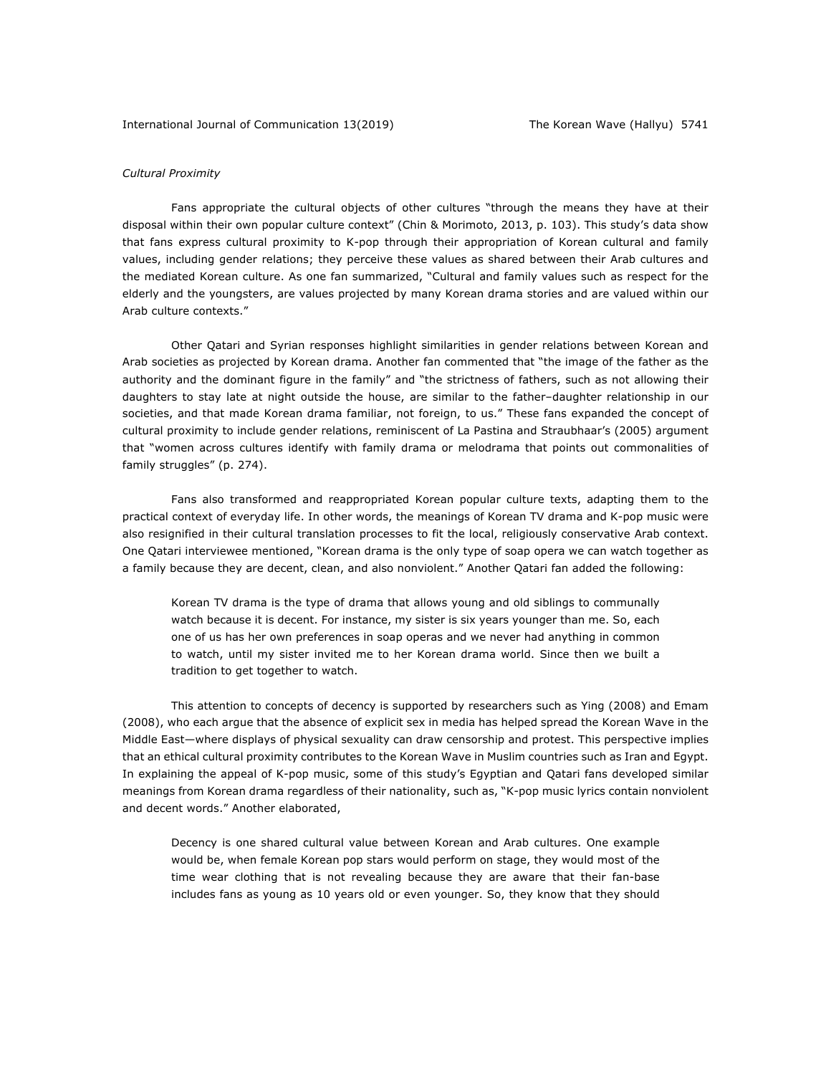## *Cultural Proximity*

Fans appropriate the cultural objects of other cultures "through the means they have at their disposal within their own popular culture context" (Chin & Morimoto, 2013, p. 103). This study's data show that fans express cultural proximity to K-pop through their appropriation of Korean cultural and family values, including gender relations; they perceive these values as shared between their Arab cultures and the mediated Korean culture. As one fan summarized, "Cultural and family values such as respect for the elderly and the youngsters, are values projected by many Korean drama stories and are valued within our Arab culture contexts."

Other Qatari and Syrian responses highlight similarities in gender relations between Korean and Arab societies as projected by Korean drama. Another fan commented that "the image of the father as the authority and the dominant figure in the family" and "the strictness of fathers, such as not allowing their daughters to stay late at night outside the house, are similar to the father–daughter relationship in our societies, and that made Korean drama familiar, not foreign, to us." These fans expanded the concept of cultural proximity to include gender relations, reminiscent of La Pastina and Straubhaar's (2005) argument that "women across cultures identify with family drama or melodrama that points out commonalities of family struggles" (p. 274).

Fans also transformed and reappropriated Korean popular culture texts, adapting them to the practical context of everyday life. In other words, the meanings of Korean TV drama and K-pop music were also resignified in their cultural translation processes to fit the local, religiously conservative Arab context. One Qatari interviewee mentioned, "Korean drama is the only type of soap opera we can watch together as a family because they are decent, clean, and also nonviolent." Another Qatari fan added the following:

Korean TV drama is the type of drama that allows young and old siblings to communally watch because it is decent. For instance, my sister is six years younger than me. So, each one of us has her own preferences in soap operas and we never had anything in common to watch, until my sister invited me to her Korean drama world. Since then we built a tradition to get together to watch.

This attention to concepts of decency is supported by researchers such as Ying (2008) and Emam (2008), who each argue that the absence of explicit sex in media has helped spread the Korean Wave in the Middle East—where displays of physical sexuality can draw censorship and protest. This perspective implies that an ethical cultural proximity contributes to the Korean Wave in Muslim countries such as Iran and Egypt. In explaining the appeal of K-pop music, some of this study's Egyptian and Qatari fans developed similar meanings from Korean drama regardless of their nationality, such as, "K-pop music lyrics contain nonviolent and decent words." Another elaborated,

Decency is one shared cultural value between Korean and Arab cultures. One example would be, when female Korean pop stars would perform on stage, they would most of the time wear clothing that is not revealing because they are aware that their fan-base includes fans as young as 10 years old or even younger. So, they know that they should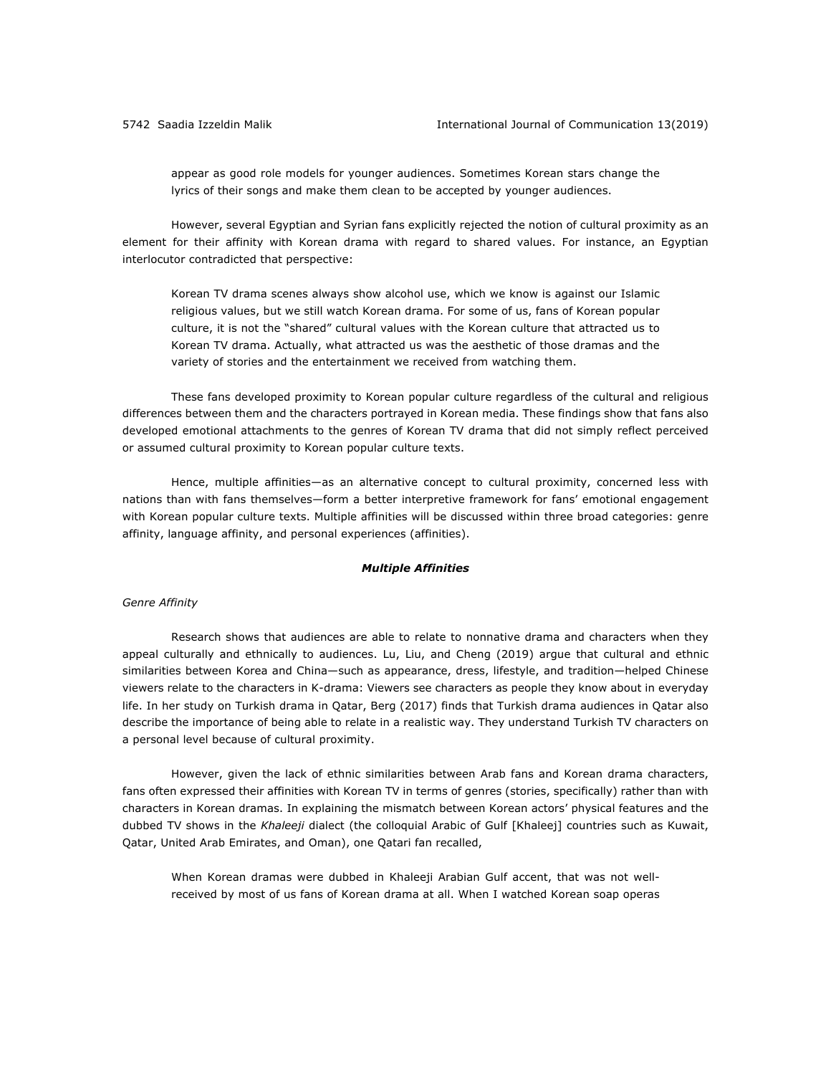appear as good role models for younger audiences. Sometimes Korean stars change the lyrics of their songs and make them clean to be accepted by younger audiences.

However, several Egyptian and Syrian fans explicitly rejected the notion of cultural proximity as an element for their affinity with Korean drama with regard to shared values. For instance, an Egyptian interlocutor contradicted that perspective:

Korean TV drama scenes always show alcohol use, which we know is against our Islamic religious values, but we still watch Korean drama. For some of us, fans of Korean popular culture, it is not the "shared" cultural values with the Korean culture that attracted us to Korean TV drama. Actually, what attracted us was the aesthetic of those dramas and the variety of stories and the entertainment we received from watching them.

These fans developed proximity to Korean popular culture regardless of the cultural and religious differences between them and the characters portrayed in Korean media. These findings show that fans also developed emotional attachments to the genres of Korean TV drama that did not simply reflect perceived or assumed cultural proximity to Korean popular culture texts.

Hence, multiple affinities—as an alternative concept to cultural proximity, concerned less with nations than with fans themselves—form a better interpretive framework for fans' emotional engagement with Korean popular culture texts. Multiple affinities will be discussed within three broad categories: genre affinity, language affinity, and personal experiences (affinities).

#### *Multiple Affinities*

## *Genre Affinity*

Research shows that audiences are able to relate to nonnative drama and characters when they appeal culturally and ethnically to audiences. Lu, Liu, and Cheng (2019) argue that cultural and ethnic similarities between Korea and China—such as appearance, dress, lifestyle, and tradition—helped Chinese viewers relate to the characters in K-drama: Viewers see characters as people they know about in everyday life. In her study on Turkish drama in Qatar, Berg (2017) finds that Turkish drama audiences in Qatar also describe the importance of being able to relate in a realistic way. They understand Turkish TV characters on a personal level because of cultural proximity.

However, given the lack of ethnic similarities between Arab fans and Korean drama characters, fans often expressed their affinities with Korean TV in terms of genres (stories, specifically) rather than with characters in Korean dramas. In explaining the mismatch between Korean actors' physical features and the dubbed TV shows in the *Khaleeji* dialect (the colloquial Arabic of Gulf [Khaleej] countries such as Kuwait, Qatar, United Arab Emirates, and Oman), one Qatari fan recalled,

When Korean dramas were dubbed in Khaleeji Arabian Gulf accent, that was not wellreceived by most of us fans of Korean drama at all. When I watched Korean soap operas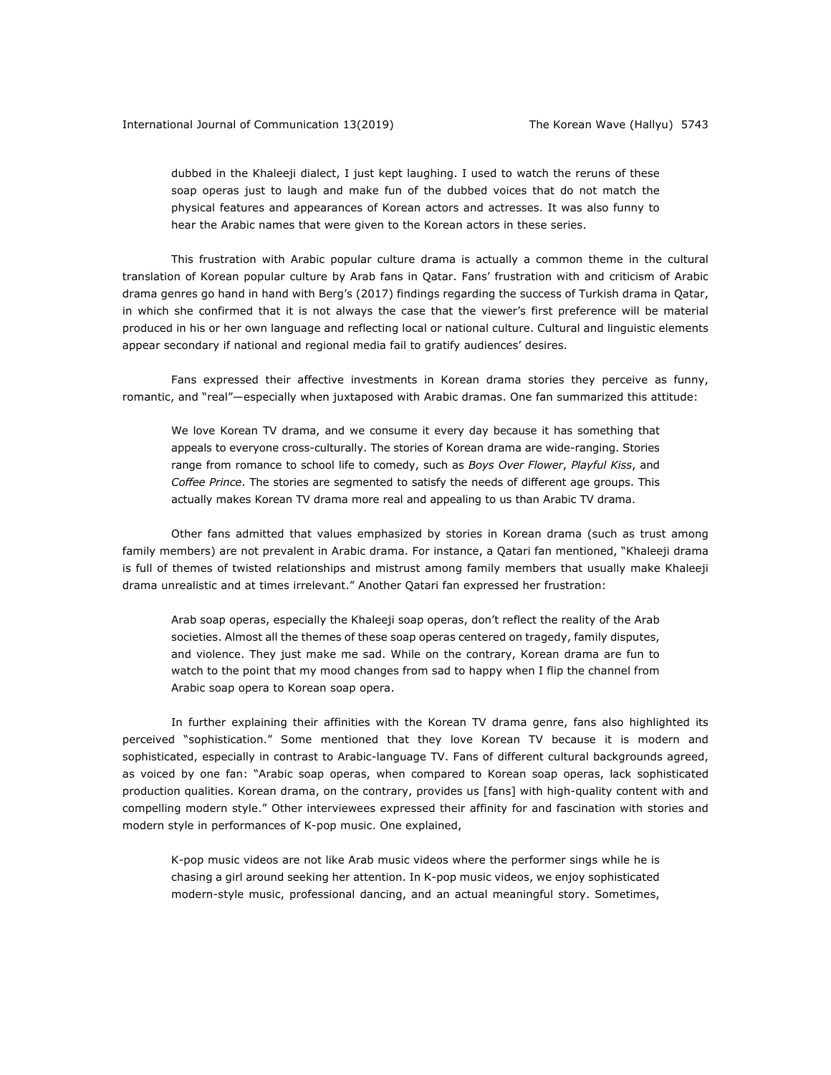dubbed in the Khaleeji dialect, I just kept laughing. I used to watch the reruns of these soap operas just to laugh and make fun of the dubbed voices that do not match the physical features and appearances of Korean actors and actresses. It was also funny to hear the Arabic names that were given to the Korean actors in these series.

This frustration with Arabic popular culture drama is actually a common theme in the cultural translation of Korean popular culture by Arab fans in Qatar. Fans' frustration with and criticism of Arabic drama genres go hand in hand with Berg's (2017) findings regarding the success of Turkish drama in Qatar, in which she confirmed that it is not always the case that the viewer's first preference will be material produced in his or her own language and reflecting local or national culture. Cultural and linguistic elements appear secondary if national and regional media fail to gratify audiences' desires.

Fans expressed their affective investments in Korean drama stories they perceive as funny, romantic, and "real"—especially when juxtaposed with Arabic dramas. One fan summarized this attitude:

We love Korean TV drama, and we consume it every day because it has something that appeals to everyone cross-culturally. The stories of Korean drama are wide-ranging. Stories range from romance to school life to comedy, such as *Boys Over Flower*, *Playful Kiss*, and *Coffee Prince*. The stories are segmented to satisfy the needs of different age groups. This actually makes Korean TV drama more real and appealing to us than Arabic TV drama.

Other fans admitted that values emphasized by stories in Korean drama (such as trust among family members) are not prevalent in Arabic drama. For instance, a Qatari fan mentioned, "Khaleeji drama is full of themes of twisted relationships and mistrust among family members that usually make Khaleeji drama unrealistic and at times irrelevant." Another Qatari fan expressed her frustration:

Arab soap operas, especially the Khaleeji soap operas, don't reflect the reality of the Arab societies. Almost all the themes of these soap operas centered on tragedy, family disputes, and violence. They just make me sad. While on the contrary, Korean drama are fun to watch to the point that my mood changes from sad to happy when I flip the channel from Arabic soap opera to Korean soap opera.

In further explaining their affinities with the Korean TV drama genre, fans also highlighted its perceived "sophistication." Some mentioned that they love Korean TV because it is modern and sophisticated, especially in contrast to Arabic-language TV. Fans of different cultural backgrounds agreed, as voiced by one fan: "Arabic soap operas, when compared to Korean soap operas, lack sophisticated production qualities. Korean drama, on the contrary, provides us [fans] with high-quality content with and compelling modern style." Other interviewees expressed their affinity for and fascination with stories and modern style in performances of K-pop music. One explained,

K-pop music videos are not like Arab music videos where the performer sings while he is chasing a girl around seeking her attention. In K-pop music videos, we enjoy sophisticated modern-style music, professional dancing, and an actual meaningful story. Sometimes,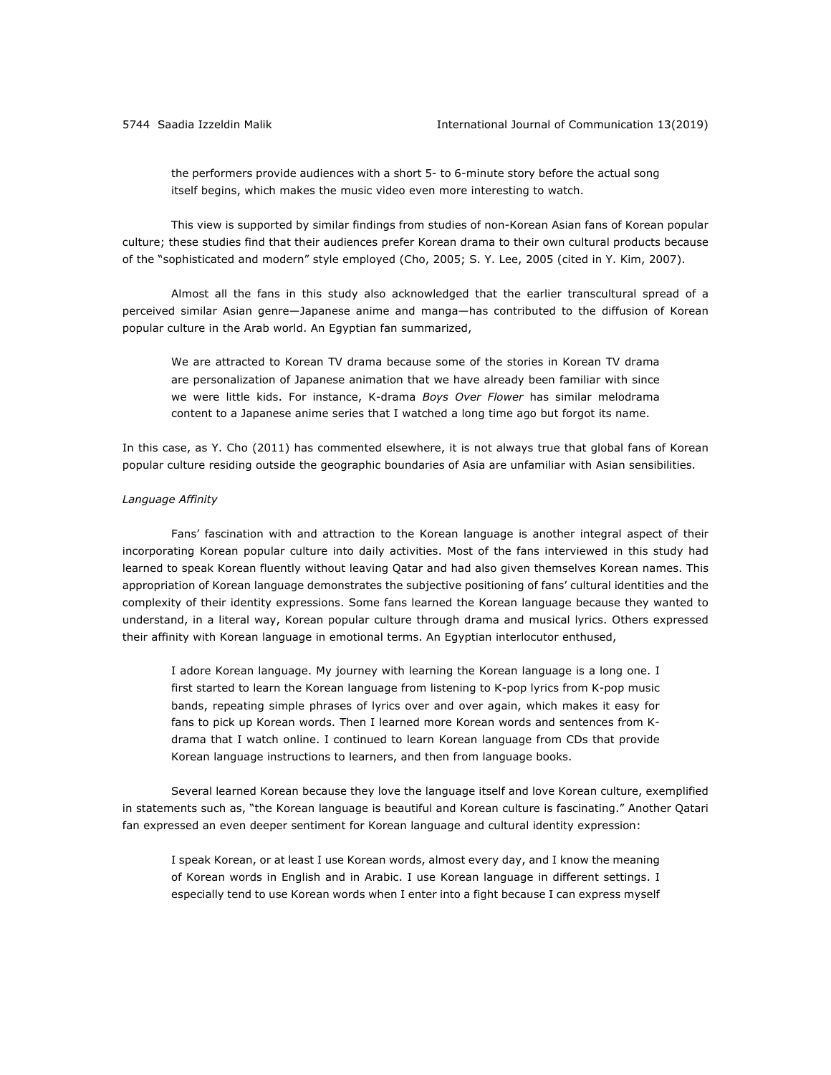the performers provide audiences with a short 5- to 6-minute story before the actual song itself begins, which makes the music video even more interesting to watch.

This view is supported by similar findings from studies of non-Korean Asian fans of Korean popular culture; these studies find that their audiences prefer Korean drama to their own cultural products because of the "sophisticated and modern" style employed (Cho, 2005; S. Y. Lee, 2005 (cited in Y. Kim, 2007).

Almost all the fans in this study also acknowledged that the earlier transcultural spread of a perceived similar Asian genre—Japanese anime and manga—has contributed to the diffusion of Korean popular culture in the Arab world. An Egyptian fan summarized,

We are attracted to Korean TV drama because some of the stories in Korean TV drama are personalization of Japanese animation that we have already been familiar with since we were little kids. For instance, K-drama *Boys Over Flower* has similar melodrama content to a Japanese anime series that I watched a long time ago but forgot its name.

In this case, as Y. Cho (2011) has commented elsewhere, it is not always true that global fans of Korean popular culture residing outside the geographic boundaries of Asia are unfamiliar with Asian sensibilities.

### *Language Affinity*

Fans' fascination with and attraction to the Korean language is another integral aspect of their incorporating Korean popular culture into daily activities. Most of the fans interviewed in this study had learned to speak Korean fluently without leaving Qatar and had also given themselves Korean names. This appropriation of Korean language demonstrates the subjective positioning of fans' cultural identities and the complexity of their identity expressions. Some fans learned the Korean language because they wanted to understand, in a literal way, Korean popular culture through drama and musical lyrics. Others expressed their affinity with Korean language in emotional terms. An Egyptian interlocutor enthused,

I adore Korean language. My journey with learning the Korean language is a long one. I first started to learn the Korean language from listening to K-pop lyrics from K-pop music bands, repeating simple phrases of lyrics over and over again, which makes it easy for fans to pick up Korean words. Then I learned more Korean words and sentences from Kdrama that I watch online. I continued to learn Korean language from CDs that provide Korean language instructions to learners, and then from language books.

Several learned Korean because they love the language itself and love Korean culture, exemplified in statements such as, "the Korean language is beautiful and Korean culture is fascinating." Another Qatari fan expressed an even deeper sentiment for Korean language and cultural identity expression:

I speak Korean, or at least I use Korean words, almost every day, and I know the meaning of Korean words in English and in Arabic. I use Korean language in different settings. I especially tend to use Korean words when I enter into a fight because I can express myself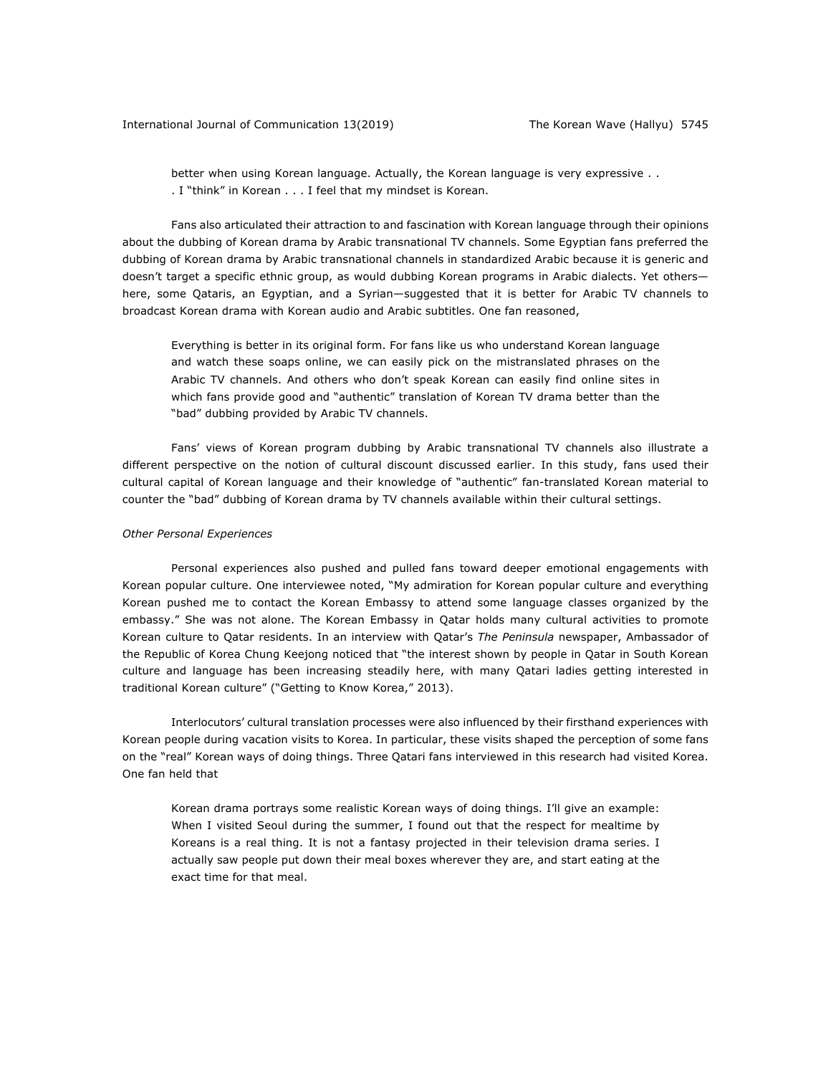better when using Korean language. Actually, the Korean language is very expressive . . . I "think" in Korean . . . I feel that my mindset is Korean.

Fans also articulated their attraction to and fascination with Korean language through their opinions about the dubbing of Korean drama by Arabic transnational TV channels. Some Egyptian fans preferred the dubbing of Korean drama by Arabic transnational channels in standardized Arabic because it is generic and doesn't target a specific ethnic group, as would dubbing Korean programs in Arabic dialects. Yet others here, some Qataris, an Egyptian, and a Syrian—suggested that it is better for Arabic TV channels to broadcast Korean drama with Korean audio and Arabic subtitles. One fan reasoned,

Everything is better in its original form. For fans like us who understand Korean language and watch these soaps online, we can easily pick on the mistranslated phrases on the Arabic TV channels. And others who don't speak Korean can easily find online sites in which fans provide good and "authentic" translation of Korean TV drama better than the "bad" dubbing provided by Arabic TV channels.

Fans' views of Korean program dubbing by Arabic transnational TV channels also illustrate a different perspective on the notion of cultural discount discussed earlier. In this study, fans used their cultural capital of Korean language and their knowledge of "authentic" fan-translated Korean material to counter the "bad" dubbing of Korean drama by TV channels available within their cultural settings.

#### *Other Personal Experiences*

Personal experiences also pushed and pulled fans toward deeper emotional engagements with Korean popular culture. One interviewee noted, "My admiration for Korean popular culture and everything Korean pushed me to contact the Korean Embassy to attend some language classes organized by the embassy." She was not alone. The Korean Embassy in Qatar holds many cultural activities to promote Korean culture to Qatar residents. In an interview with Qatar's *The Peninsula* newspaper, Ambassador of the Republic of Korea Chung Keejong noticed that "the interest shown by people in Qatar in South Korean culture and language has been increasing steadily here, with many Qatari ladies getting interested in traditional Korean culture" ("Getting to Know Korea," 2013).

Interlocutors' cultural translation processes were also influenced by their firsthand experiences with Korean people during vacation visits to Korea. In particular, these visits shaped the perception of some fans on the "real" Korean ways of doing things. Three Qatari fans interviewed in this research had visited Korea. One fan held that

Korean drama portrays some realistic Korean ways of doing things. I'll give an example: When I visited Seoul during the summer, I found out that the respect for mealtime by Koreans is a real thing. It is not a fantasy projected in their television drama series. I actually saw people put down their meal boxes wherever they are, and start eating at the exact time for that meal.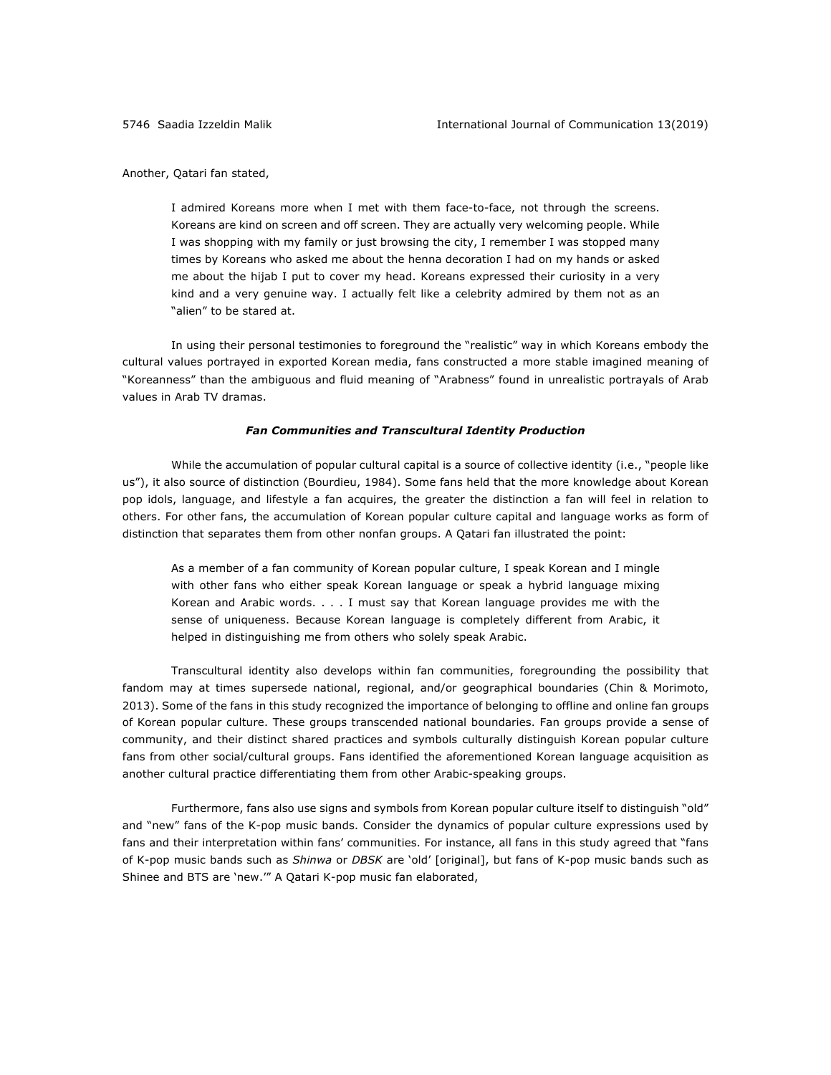Another, Qatari fan stated,

I admired Koreans more when I met with them face-to-face, not through the screens. Koreans are kind on screen and off screen. They are actually very welcoming people. While I was shopping with my family or just browsing the city, I remember I was stopped many times by Koreans who asked me about the henna decoration I had on my hands or asked me about the hijab I put to cover my head. Koreans expressed their curiosity in a very kind and a very genuine way. I actually felt like a celebrity admired by them not as an "alien" to be stared at.

In using their personal testimonies to foreground the "realistic" way in which Koreans embody the cultural values portrayed in exported Korean media, fans constructed a more stable imagined meaning of "Koreanness" than the ambiguous and fluid meaning of "Arabness" found in unrealistic portrayals of Arab values in Arab TV dramas.

## *Fan Communities and Transcultural Identity Production*

While the accumulation of popular cultural capital is a source of collective identity (i.e., "people like us"), it also source of distinction (Bourdieu, 1984). Some fans held that the more knowledge about Korean pop idols, language, and lifestyle a fan acquires, the greater the distinction a fan will feel in relation to others. For other fans, the accumulation of Korean popular culture capital and language works as form of distinction that separates them from other nonfan groups. A Qatari fan illustrated the point:

As a member of a fan community of Korean popular culture, I speak Korean and I mingle with other fans who either speak Korean language or speak a hybrid language mixing Korean and Arabic words. . . . I must say that Korean language provides me with the sense of uniqueness. Because Korean language is completely different from Arabic, it helped in distinguishing me from others who solely speak Arabic.

Transcultural identity also develops within fan communities, foregrounding the possibility that fandom may at times supersede national, regional, and/or geographical boundaries (Chin & Morimoto, 2013). Some of the fans in this study recognized the importance of belonging to offline and online fan groups of Korean popular culture. These groups transcended national boundaries. Fan groups provide a sense of community, and their distinct shared practices and symbols culturally distinguish Korean popular culture fans from other social/cultural groups. Fans identified the aforementioned Korean language acquisition as another cultural practice differentiating them from other Arabic-speaking groups.

Furthermore, fans also use signs and symbols from Korean popular culture itself to distinguish "old" and "new" fans of the K-pop music bands. Consider the dynamics of popular culture expressions used by fans and their interpretation within fans' communities. For instance, all fans in this study agreed that "fans of K-pop music bands such as *Shinwa* or *DBSK* are 'old' [original], but fans of K-pop music bands such as Shinee and BTS are 'new.'" A Qatari K-pop music fan elaborated,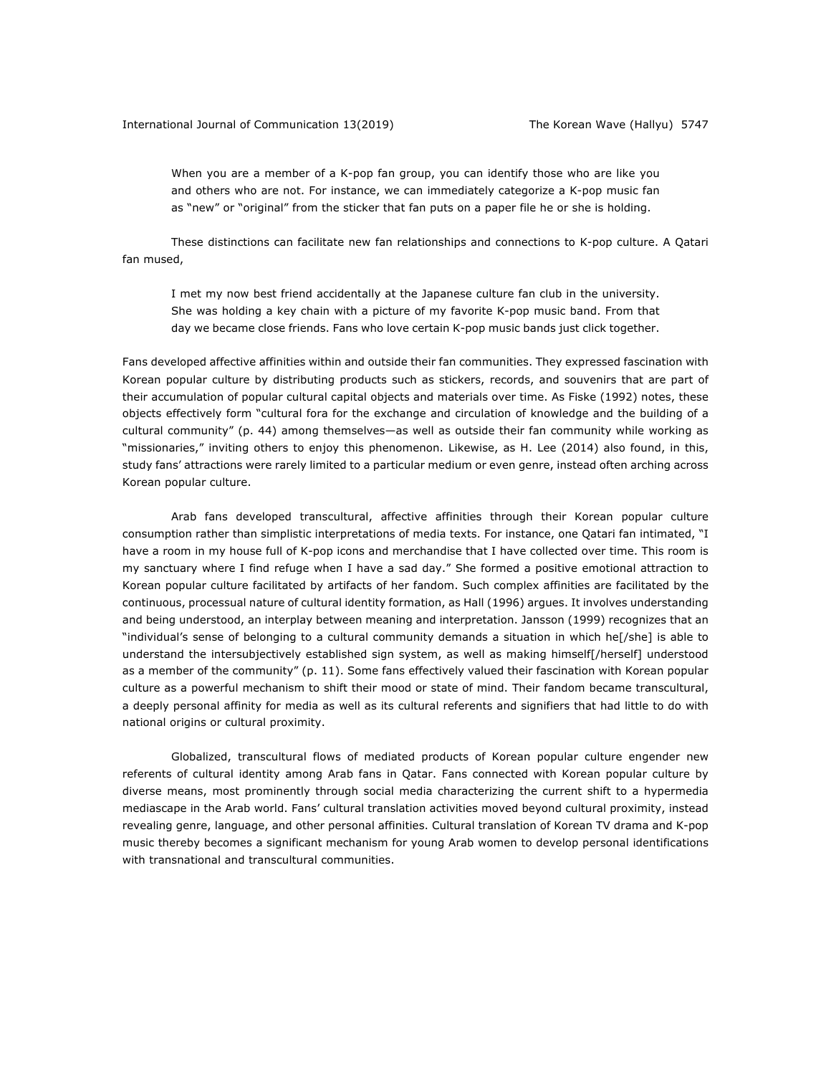When you are a member of a K-pop fan group, you can identify those who are like you and others who are not. For instance, we can immediately categorize a K-pop music fan as "new" or "original" from the sticker that fan puts on a paper file he or she is holding.

These distinctions can facilitate new fan relationships and connections to K-pop culture. A Qatari fan mused,

I met my now best friend accidentally at the Japanese culture fan club in the university. She was holding a key chain with a picture of my favorite K-pop music band. From that day we became close friends. Fans who love certain K-pop music bands just click together.

Fans developed affective affinities within and outside their fan communities. They expressed fascination with Korean popular culture by distributing products such as stickers, records, and souvenirs that are part of their accumulation of popular cultural capital objects and materials over time. As Fiske (1992) notes, these objects effectively form "cultural fora for the exchange and circulation of knowledge and the building of a cultural community" (p. 44) among themselves—as well as outside their fan community while working as "missionaries," inviting others to enjoy this phenomenon. Likewise, as H. Lee (2014) also found, in this, study fans' attractions were rarely limited to a particular medium or even genre, instead often arching across Korean popular culture.

Arab fans developed transcultural, affective affinities through their Korean popular culture consumption rather than simplistic interpretations of media texts. For instance, one Qatari fan intimated, "I have a room in my house full of K-pop icons and merchandise that I have collected over time. This room is my sanctuary where I find refuge when I have a sad day." She formed a positive emotional attraction to Korean popular culture facilitated by artifacts of her fandom. Such complex affinities are facilitated by the continuous, processual nature of cultural identity formation, as Hall (1996) argues. It involves understanding and being understood, an interplay between meaning and interpretation. Jansson (1999) recognizes that an "individual's sense of belonging to a cultural community demands a situation in which he[/she] is able to understand the intersubjectively established sign system, as well as making himself[/herself] understood as a member of the community" (p. 11). Some fans effectively valued their fascination with Korean popular culture as a powerful mechanism to shift their mood or state of mind. Their fandom became transcultural, a deeply personal affinity for media as well as its cultural referents and signifiers that had little to do with national origins or cultural proximity.

Globalized, transcultural flows of mediated products of Korean popular culture engender new referents of cultural identity among Arab fans in Qatar. Fans connected with Korean popular culture by diverse means, most prominently through social media characterizing the current shift to a hypermedia mediascape in the Arab world. Fans' cultural translation activities moved beyond cultural proximity, instead revealing genre, language, and other personal affinities. Cultural translation of Korean TV drama and K-pop music thereby becomes a significant mechanism for young Arab women to develop personal identifications with transnational and transcultural communities.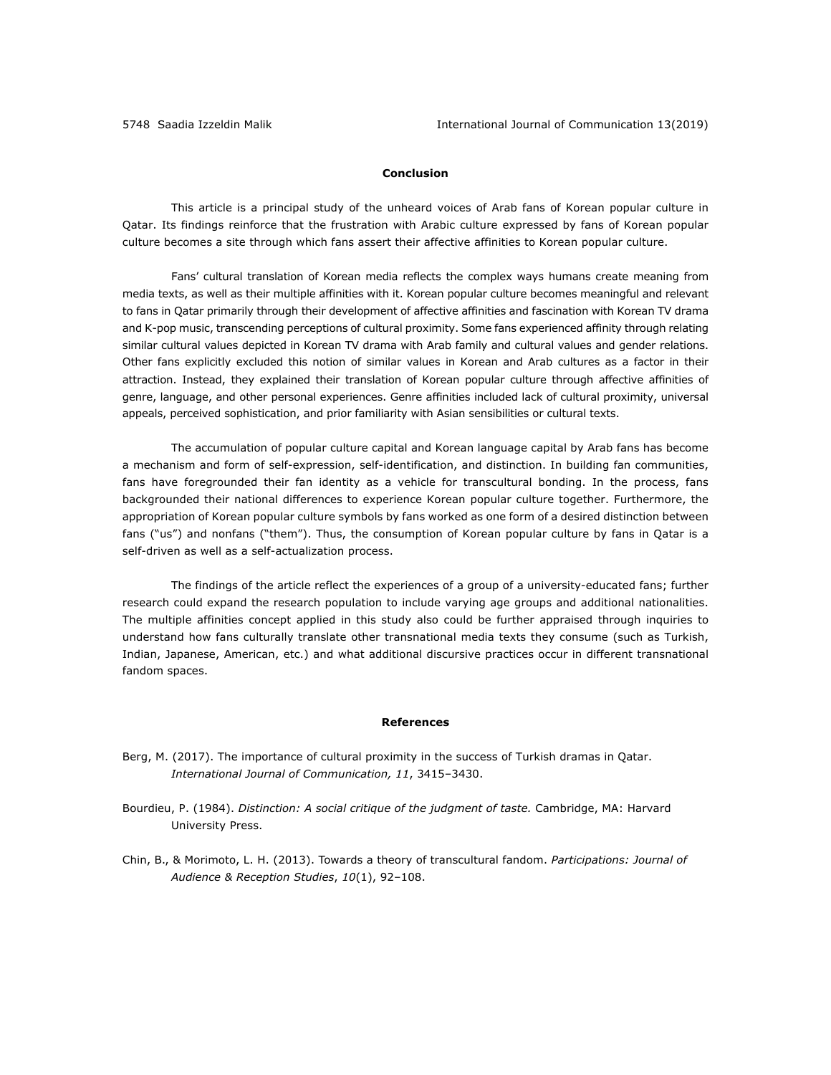## **Conclusion**

This article is a principal study of the unheard voices of Arab fans of Korean popular culture in Qatar. Its findings reinforce that the frustration with Arabic culture expressed by fans of Korean popular culture becomes a site through which fans assert their affective affinities to Korean popular culture.

Fans' cultural translation of Korean media reflects the complex ways humans create meaning from media texts, as well as their multiple affinities with it. Korean popular culture becomes meaningful and relevant to fans in Qatar primarily through their development of affective affinities and fascination with Korean TV drama and K-pop music, transcending perceptions of cultural proximity. Some fans experienced affinity through relating similar cultural values depicted in Korean TV drama with Arab family and cultural values and gender relations. Other fans explicitly excluded this notion of similar values in Korean and Arab cultures as a factor in their attraction. Instead, they explained their translation of Korean popular culture through affective affinities of genre, language, and other personal experiences. Genre affinities included lack of cultural proximity, universal appeals, perceived sophistication, and prior familiarity with Asian sensibilities or cultural texts.

The accumulation of popular culture capital and Korean language capital by Arab fans has become a mechanism and form of self-expression, self-identification, and distinction. In building fan communities, fans have foregrounded their fan identity as a vehicle for transcultural bonding. In the process, fans backgrounded their national differences to experience Korean popular culture together. Furthermore, the appropriation of Korean popular culture symbols by fans worked as one form of a desired distinction between fans ("us") and nonfans ("them"). Thus, the consumption of Korean popular culture by fans in Qatar is a self-driven as well as a self-actualization process.

The findings of the article reflect the experiences of a group of a university-educated fans; further research could expand the research population to include varying age groups and additional nationalities. The multiple affinities concept applied in this study also could be further appraised through inquiries to understand how fans culturally translate other transnational media texts they consume (such as Turkish, Indian, Japanese, American, etc.) and what additional discursive practices occur in different transnational fandom spaces.

#### **References**

- Berg, M. (2017). The importance of cultural proximity in the success of Turkish dramas in Qatar. *International Journal of Communication, 11*, 3415–3430.
- Bourdieu, P. (1984). *Distinction: A social critique of the judgment of taste.* Cambridge, MA: Harvard University Press.
- Chin, B., & Morimoto, L. H. (2013). Towards a theory of transcultural fandom. *Participations: Journal of Audience & Reception Studies*, *10*(1), 92–108.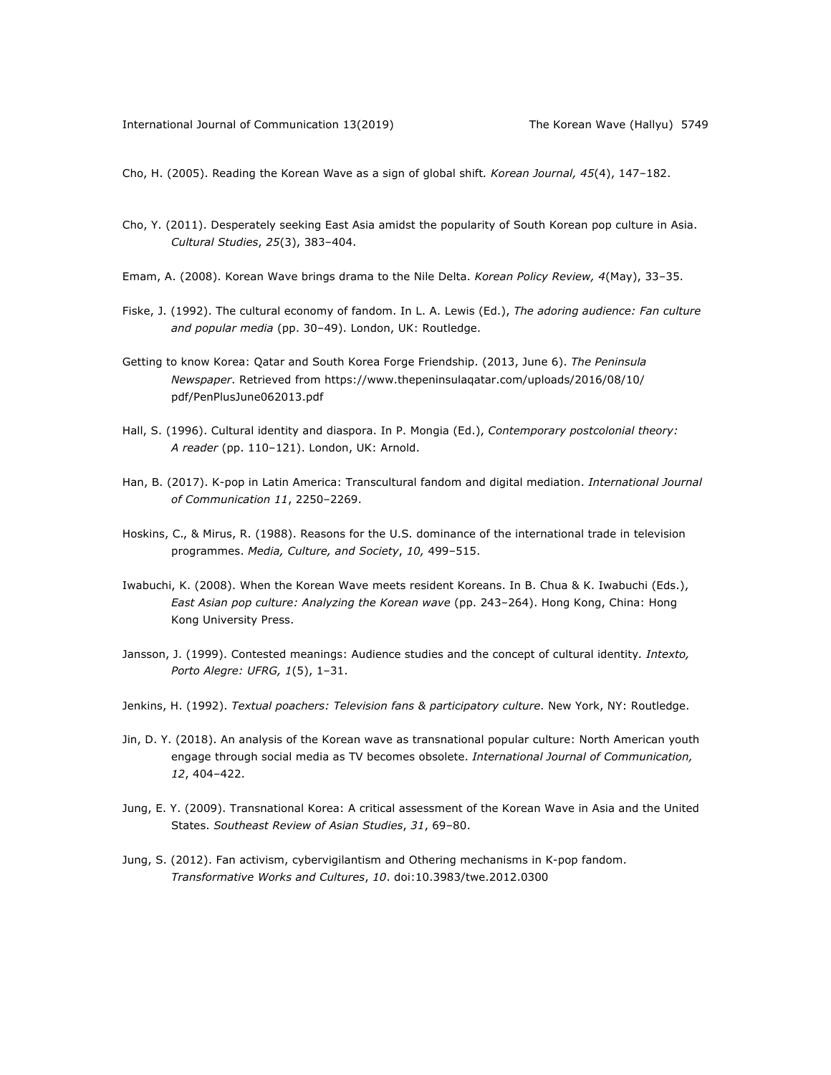Cho, H. (2005). Reading the Korean Wave as a sign of global shift*. Korean Journal, 45*(4), 147–182.

- Cho, Y. (2011). Desperately seeking East Asia amidst the popularity of South Korean pop culture in Asia. *Cultural Studies*, *25*(3), 383–404.
- Emam, A. (2008). Korean Wave brings drama to the Nile Delta. *Korean Policy Review, 4*(May), 33–35.
- Fiske, J. (1992). The cultural economy of fandom. In L. A. Lewis (Ed.), *The adoring audience: Fan culture and popular media* (pp. 30–49). London, UK: Routledge.
- Getting to know Korea: Qatar and South Korea Forge Friendship. (2013, June 6). *The Peninsula Newspaper*. Retrieved from https://www.thepeninsulaqatar.com/uploads/2016/08/10/ pdf/PenPlusJune062013.pdf
- Hall, S. (1996). Cultural identity and diaspora. In P. Mongia (Ed.), *Contemporary postcolonial theory: A reader* (pp. 110–121). London, UK: Arnold.
- Han, B. (2017). K-pop in Latin America: Transcultural fandom and digital mediation. *International Journal of Communication 11*, 2250–2269.
- Hoskins, C., & Mirus, R. (1988). Reasons for the U.S. dominance of the international trade in television programmes. *Media, Culture, and Society*, *10,* 499–515.
- Iwabuchi, K. (2008). When the Korean Wave meets resident Koreans. In B. Chua & K. Iwabuchi (Eds.), *East Asian pop culture: Analyzing the Korean wave* (pp. 243–264). Hong Kong, China: Hong Kong University Press.
- Jansson, J. (1999). Contested meanings: Audience studies and the concept of cultural identity*. Intexto, Porto Alegre: UFRG, 1*(5), 1–31.
- Jenkins, H. (1992). *Textual poachers: Television fans & participatory culture*. New York, NY: Routledge.
- Jin, D. Y. (2018). An analysis of the Korean wave as transnational popular culture: North American youth engage through social media as TV becomes obsolete. *International Journal of Communication, 12*, 404–422.
- Jung, E. Y. (2009). Transnational Korea: A critical assessment of the Korean Wave in Asia and the United States. *Southeast Review of Asian Studies*, *31*, 69–80.
- Jung, S. (2012). Fan activism, cybervigilantism and Othering mechanisms in K-pop fandom. *Transformative Works and Cultures*, *10*. doi:10.3983/twe.2012.0300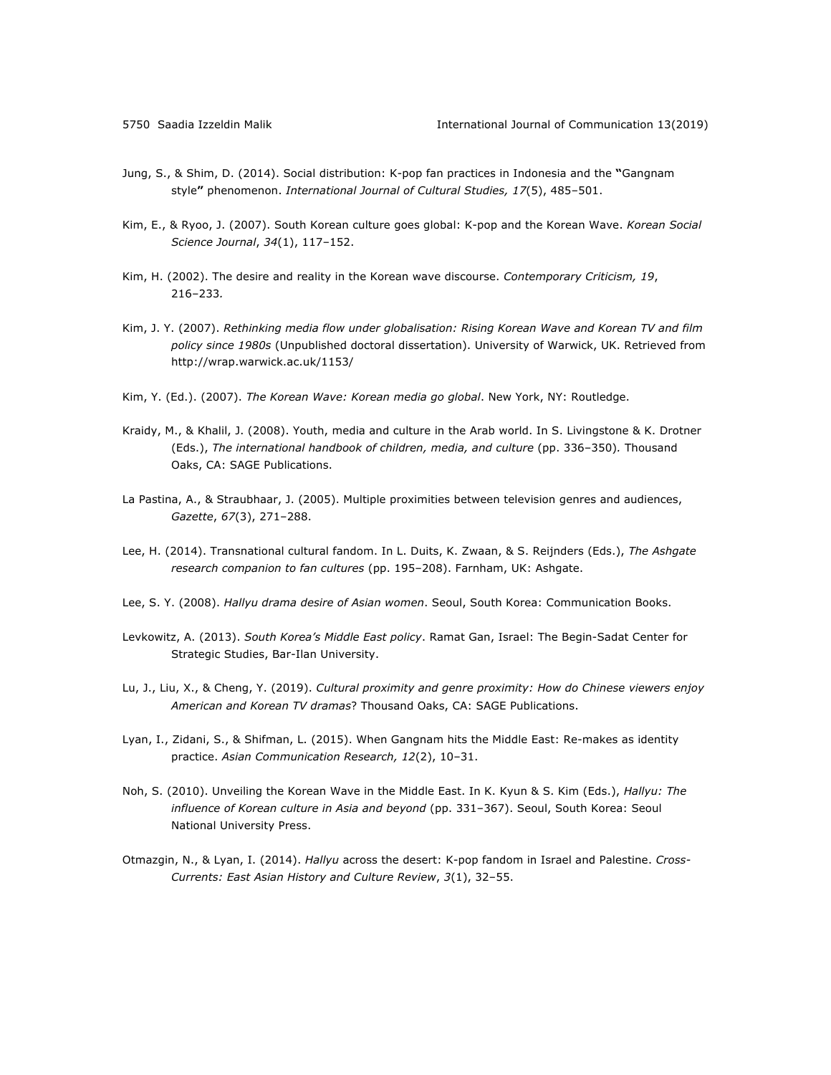- Jung, S., & Shim, D. (2014). Social distribution: K-pop fan practices in Indonesia and the **"**Gangnam style**"** phenomenon. *International Journal of Cultural Studies, 17*(5), 485–501.
- Kim, E., & Ryoo, J. (2007). South Korean culture goes global: K-pop and the Korean Wave. *Korean Social Science Journal*, *34*(1), 117–152.
- Kim, H. (2002). The desire and reality in the Korean wave discourse. *Contemporary Criticism, 19*, 216–233*.*
- Kim, J. Y. (2007). *Rethinking media flow under globalisation: Rising Korean Wave and Korean TV and film policy since 1980s* (Unpublished doctoral dissertation). University of Warwick, UK. Retrieved from http://wrap.warwick.ac.uk/1153/
- Kim, Y. (Ed.). (2007). *The Korean Wave: Korean media go global*. New York, NY: Routledge.
- Kraidy, M., & Khalil, J. (2008). Youth, media and culture in the Arab world. In S. Livingstone & K. Drotner (Eds.), *The international handbook of children, media, and culture* (pp. 336-350). Thousand Oaks, CA: SAGE Publications.
- La Pastina, A., & Straubhaar, J. (2005). Multiple proximities between television genres and audiences, *Gazette*, *67*(3), 271–288.
- Lee, H. (2014). Transnational cultural fandom. In L. Duits, K. Zwaan, & S. Reijnders (Eds.), *The Ashgate research companion to fan cultures* (pp. 195–208). Farnham, UK: Ashgate.
- Lee, S. Y. (2008). *Hallyu drama desire of Asian women*. Seoul, South Korea: Communication Books.
- Levkowitz, A. (2013). *South Korea's Middle East policy*. Ramat Gan, Israel: The Begin-Sadat Center for Strategic Studies, Bar-Ilan University.
- Lu, J., Liu, X., & Cheng, Y. (2019). *Cultural proximity and genre proximity: How do Chinese viewers enjoy American and Korean TV dramas*? Thousand Oaks, CA: SAGE Publications.
- Lyan, I., Zidani, S., & Shifman, L. (2015). When Gangnam hits the Middle East: Re-makes as identity practice. *Asian Communication Research, 12*(2), 10‒31.
- Noh, S. (2010). Unveiling the Korean Wave in the Middle East. In K. Kyun & S. Kim (Eds.), *Hallyu: The influence of Korean culture in Asia and beyond* (pp. 331–367). Seoul, South Korea: Seoul National University Press.
- Otmazgin, N., & Lyan, I. (2014). *Hallyu* across the desert: K-pop fandom in Israel and Palestine. *Cross-Currents: East Asian History and Culture Review*, *3*(1), 32–55.